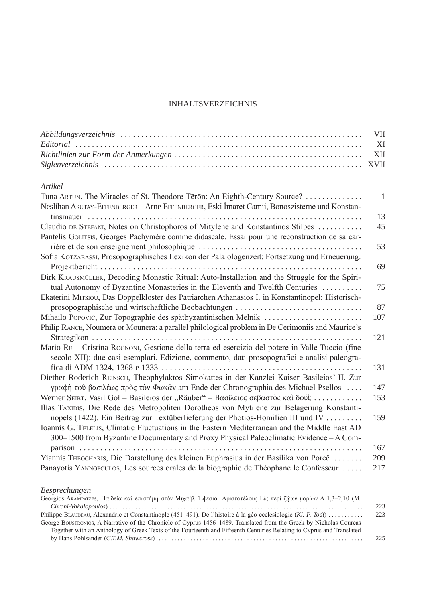## Inhaltsverzeichnis

|                                                                                                                                                                                                 | <b>VII</b><br>XI |
|-------------------------------------------------------------------------------------------------------------------------------------------------------------------------------------------------|------------------|
|                                                                                                                                                                                                 | XII              |
|                                                                                                                                                                                                 | <b>XVII</b>      |
| Artikel                                                                                                                                                                                         |                  |
| Tuna Arrun, The Miracles of St. Theodore Tērōn: An Eighth-Century Source?<br>Neslihan ASUTAY-EFFENBERGER - Arne EFFENBERGER, Eski İmaret Camii, Bonoszisterne und Konstan-                      | 1                |
|                                                                                                                                                                                                 | 13               |
| Claudio DE STEFANI, Notes on Christophoros of Mitylene and Konstantinos Stilbes<br>Pantelis GOLITSIS, Georges Pachymère comme didascale. Essai pour une reconstruction de sa car-               | 45               |
|                                                                                                                                                                                                 | 53               |
| Sofia KOTZABASSI, Prosopographisches Lexikon der Palaiologenzeit: Fortsetzung und Erneuerung.<br>Dirk KRAUSMÜLLER, Decoding Monastic Ritual: Auto-Installation and the Struggle for the Spiri-  | 69               |
| tual Autonomy of Byzantine Monasteries in the Eleventh and Twelfth Centuries                                                                                                                    | 75               |
| Ekaterini MITSIOU, Das Doppelkloster des Patriarchen Athanasios I. in Konstantinopel: Historisch-<br>prosopographische und wirtschaftliche Beobachtungen                                        | 87               |
| Mihailo Popović, Zur Topographie des spätbyzantinischen Melnik                                                                                                                                  | 107              |
| Philip RANCE, Noumera or Mounera: a parallel philological problem in De Cerimoniis and Maurice's                                                                                                |                  |
|                                                                                                                                                                                                 | 121              |
| Mario RE - Cristina ROGNONI, Gestione della terra ed esercizio del potere in Valle Tuccio (fine<br>secolo XII): due casi esemplari. Edizione, commento, dati prosopografici e analisi paleogra- |                  |
|                                                                                                                                                                                                 | 131              |
| Diether Roderich REINSCH, Theophylaktos Simokattes in der Kanzlei Kaiser Basileios' II. Zur<br>γραφή του βασιλέως πρὸς τὸν Φωκᾶν am Ende der Chronographia des Michael Psellos                  | 147              |
| Werner SEIBT, Vasil Goł – Basileios der "Räuber" – Βασίλειος σεβαστός και δούξ                                                                                                                  | 153              |
| Ilias TAXIDIS, Die Rede des Metropoliten Dorotheos von Mytilene zur Belagerung Konstanti-                                                                                                       |                  |
| nopels (1422). Ein Beitrag zur Textüberlieferung der Photios-Homilien III und IV                                                                                                                | 159              |
| Ioannis G. TELELIS, Climatic Fluctuations in the Eastern Mediterranean and the Middle East AD<br>300-1500 from Byzantine Documentary and Proxy Physical Paleoclimatic Evidence - A Com-         |                  |
|                                                                                                                                                                                                 | 167              |
| Yiannis THEOCHARIS, Die Darstellung des kleinen Euphrasius in der Basilika von Poreč                                                                                                            | 209              |
| Panayotis YANNOPOULOS, Les sources orales de la biographie de Théophane le Confesseur                                                                                                           | 217              |

## *Besprechungen*

| Georgios ΑκΑΜΡΑΤΖΕS, Παιδεία και επιστήμη στον Μιχαηλ Εφέσιο. Αριστοτέλους Εις περι ζώων μορίων Α 1,3-2,10 (Μ.        |     |
|-----------------------------------------------------------------------------------------------------------------------|-----|
|                                                                                                                       | 223 |
| Philippe BLAUDEAU, Alexandrie et Constantinople (451–491). De l'histoire à la géo-ecclésiologie (Kl.-P. Todt)         | 223 |
| George BOUSTRONIOS, A Narrative of the Chronicle of Cyprus 1456–1489. Translated from the Greek by Nicholas Coureas   |     |
| Together with an Anthology of Greek Texts of the Fourteenth and Fifteenth Centuries Relating to Cyprus and Translated |     |
|                                                                                                                       | 225 |